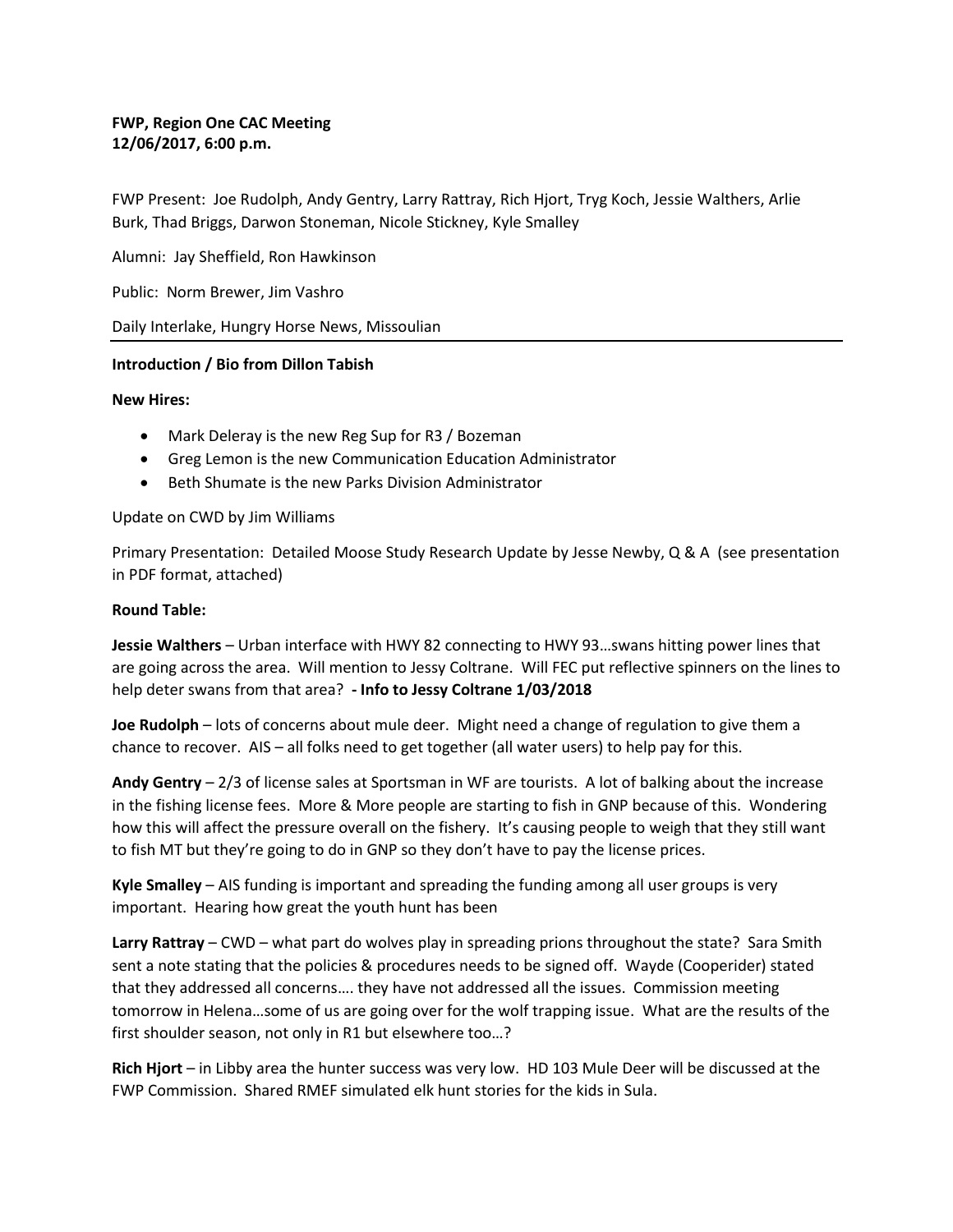# **FWP, Region One CAC Meeting 12/06/2017, 6:00 p.m.**

FWP Present: Joe Rudolph, Andy Gentry, Larry Rattray, Rich Hjort, Tryg Koch, Jessie Walthers, Arlie Burk, Thad Briggs, Darwon Stoneman, Nicole Stickney, Kyle Smalley

Alumni: Jay Sheffield, Ron Hawkinson

Public: Norm Brewer, Jim Vashro

Daily Interlake, Hungry Horse News, Missoulian

## **Introduction / Bio from Dillon Tabish**

### **New Hires:**

- Mark Deleray is the new Reg Sup for R3 / Bozeman
- Greg Lemon is the new Communication Education Administrator
- Beth Shumate is the new Parks Division Administrator

### Update on CWD by Jim Williams

Primary Presentation: Detailed Moose Study Research Update by Jesse Newby, Q & A (see presentation in PDF format, attached)

#### **Round Table:**

**Jessie Walthers** – Urban interface with HWY 82 connecting to HWY 93…swans hitting power lines that are going across the area. Will mention to Jessy Coltrane. Will FEC put reflective spinners on the lines to help deter swans from that area? **- Info to Jessy Coltrane 1/03/2018**

**Joe Rudolph** – lots of concerns about mule deer. Might need a change of regulation to give them a chance to recover. AIS – all folks need to get together (all water users) to help pay for this.

**Andy Gentry** – 2/3 of license sales at Sportsman in WF are tourists. A lot of balking about the increase in the fishing license fees. More & More people are starting to fish in GNP because of this. Wondering how this will affect the pressure overall on the fishery. It's causing people to weigh that they still want to fish MT but they're going to do in GNP so they don't have to pay the license prices.

**Kyle Smalley** – AIS funding is important and spreading the funding among all user groups is very important. Hearing how great the youth hunt has been

**Larry Rattray** – CWD – what part do wolves play in spreading prions throughout the state? Sara Smith sent a note stating that the policies & procedures needs to be signed off. Wayde (Cooperider) stated that they addressed all concerns…. they have not addressed all the issues. Commission meeting tomorrow in Helena…some of us are going over for the wolf trapping issue. What are the results of the first shoulder season, not only in R1 but elsewhere too…?

**Rich Hjort** – in Libby area the hunter success was very low. HD 103 Mule Deer will be discussed at the FWP Commission. Shared RMEF simulated elk hunt stories for the kids in Sula.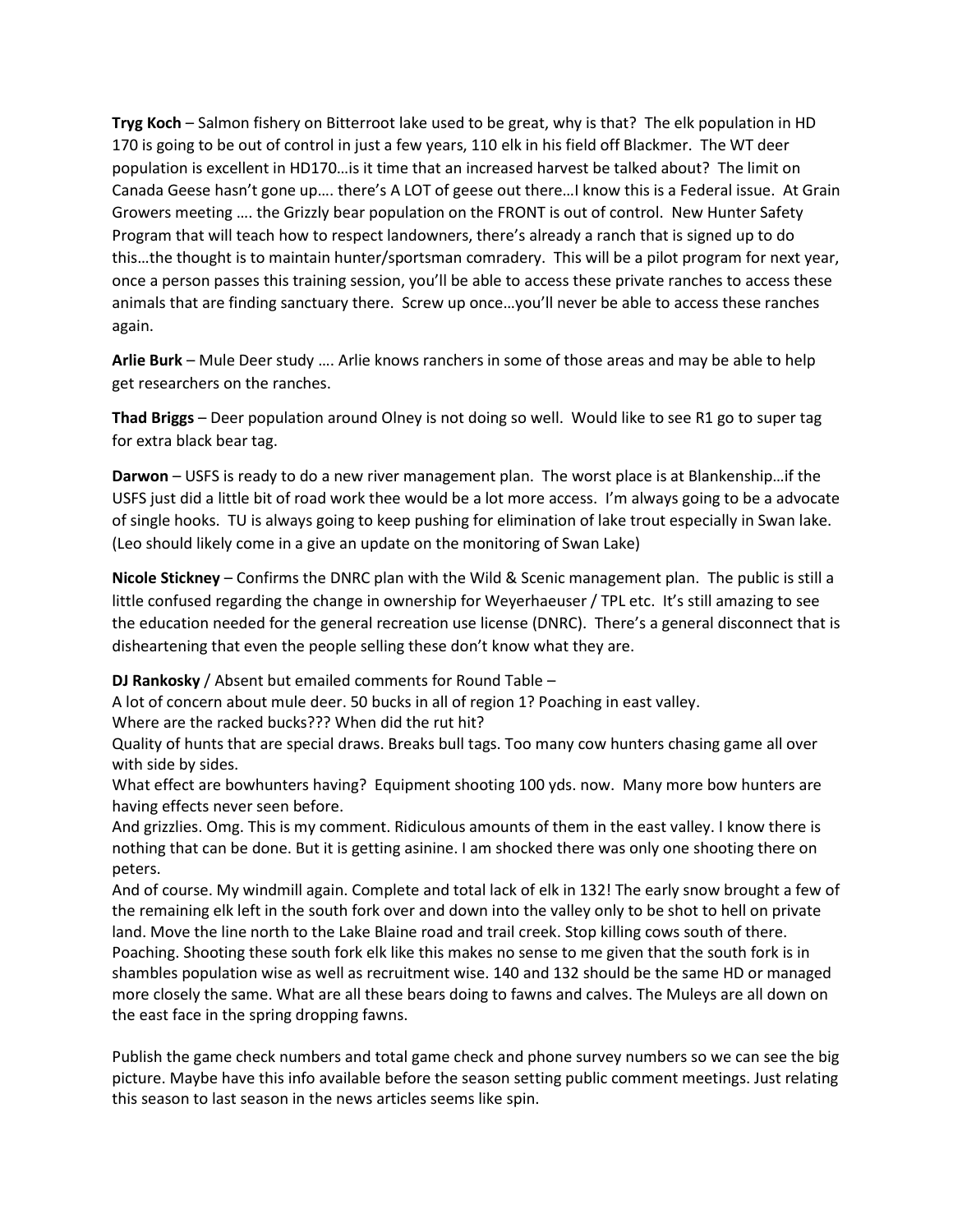**Tryg Koch** – Salmon fishery on Bitterroot lake used to be great, why is that? The elk population in HD 170 is going to be out of control in just a few years, 110 elk in his field off Blackmer. The WT deer population is excellent in HD170…is it time that an increased harvest be talked about? The limit on Canada Geese hasn't gone up…. there's A LOT of geese out there…I know this is a Federal issue. At Grain Growers meeting …. the Grizzly bear population on the FRONT is out of control. New Hunter Safety Program that will teach how to respect landowners, there's already a ranch that is signed up to do this…the thought is to maintain hunter/sportsman comradery. This will be a pilot program for next year, once a person passes this training session, you'll be able to access these private ranches to access these animals that are finding sanctuary there. Screw up once…you'll never be able to access these ranches again.

**Arlie Burk** – Mule Deer study …. Arlie knows ranchers in some of those areas and may be able to help get researchers on the ranches.

**Thad Briggs** – Deer population around Olney is not doing so well. Would like to see R1 go to super tag for extra black bear tag.

**Darwon** – USFS is ready to do a new river management plan. The worst place is at Blankenship…if the USFS just did a little bit of road work thee would be a lot more access. I'm always going to be a advocate of single hooks. TU is always going to keep pushing for elimination of lake trout especially in Swan lake. (Leo should likely come in a give an update on the monitoring of Swan Lake)

**Nicole Stickney** – Confirms the DNRC plan with the Wild & Scenic management plan. The public is still a little confused regarding the change in ownership for Weyerhaeuser / TPL etc. It's still amazing to see the education needed for the general recreation use license (DNRC). There's a general disconnect that is disheartening that even the people selling these don't know what they are.

**DJ Rankosky** / Absent but emailed comments for Round Table –

A lot of concern about mule deer. 50 bucks in all of region 1? Poaching in east valley.

Where are the racked bucks??? When did the rut hit?

Quality of hunts that are special draws. Breaks bull tags. Too many cow hunters chasing game all over with side by sides.

What effect are bowhunters having? Equipment shooting 100 yds. now. Many more bow hunters are having effects never seen before.

And grizzlies. Omg. This is my comment. Ridiculous amounts of them in the east valley. I know there is nothing that can be done. But it is getting asinine. I am shocked there was only one shooting there on peters.

And of course. My windmill again. Complete and total lack of elk in 132! The early snow brought a few of the remaining elk left in the south fork over and down into the valley only to be shot to hell on private land. Move the line north to the Lake Blaine road and trail creek. Stop killing cows south of there. Poaching. Shooting these south fork elk like this makes no sense to me given that the south fork is in shambles population wise as well as recruitment wise. 140 and 132 should be the same HD or managed more closely the same. What are all these bears doing to fawns and calves. The Muleys are all down on the east face in the spring dropping fawns.

Publish the game check numbers and total game check and phone survey numbers so we can see the big picture. Maybe have this info available before the season setting public comment meetings. Just relating this season to last season in the news articles seems like spin.